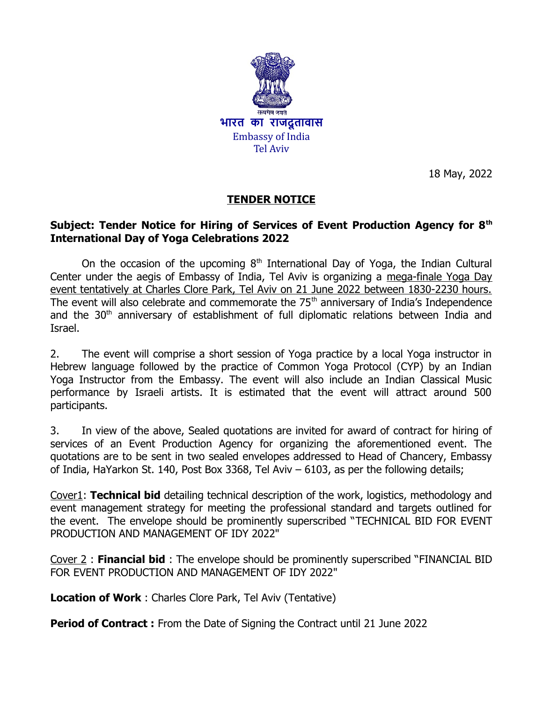

18 May, 2022

# **TENDER NOTICE**

#### **Subject: Tender Notice for Hiring of Services of Event Production Agency for 8th International Day of Yoga Celebrations 2022**

On the occasion of the upcoming  $8<sup>th</sup>$  International Day of Yoga, the Indian Cultural Center under the aegis of Embassy of India, Tel Aviv is organizing a mega-finale Yoga Day event tentatively at Charles Clore Park, Tel Aviv on 21 June 2022 between 1830-2230 hours. The event will also celebrate and commemorate the  $75<sup>th</sup>$  anniversary of India's Independence and the 30<sup>th</sup> anniversary of establishment of full diplomatic relations between India and Israel.

2. The event will comprise a short session of Yoga practice by a local Yoga instructor in Hebrew language followed by the practice of Common Yoga Protocol (CYP) by an Indian Yoga Instructor from the Embassy. The event will also include an Indian Classical Music performance by Israeli artists. It is estimated that the event will attract around 500 participants.

3. In view of the above, Sealed quotations are invited for award of contract for hiring of services of an Event Production Agency for organizing the aforementioned event. The quotations are to be sent in two sealed envelopes addressed to Head of Chancery, Embassy of India, HaYarkon St. 140, Post Box 3368, Tel Aviv – 6103, as per the following details;

Cover1: **Technical bid** detailing technical description of the work, logistics, methodology and event management strategy for meeting the professional standard and targets outlined for the event. The envelope should be prominently superscribed "TECHNICAL BID FOR EVENT PRODUCTION AND MANAGEMENT OF IDY 2022"

Cover 2 : **Financial bid** : The envelope should be prominently superscribed "FINANCIAL BID FOR EVENT PRODUCTION AND MANAGEMENT OF IDY 2022"

**Location of Work** : Charles Clore Park, Tel Aviv (Tentative)

**Period of Contract :** From the Date of Signing the Contract until 21 June 2022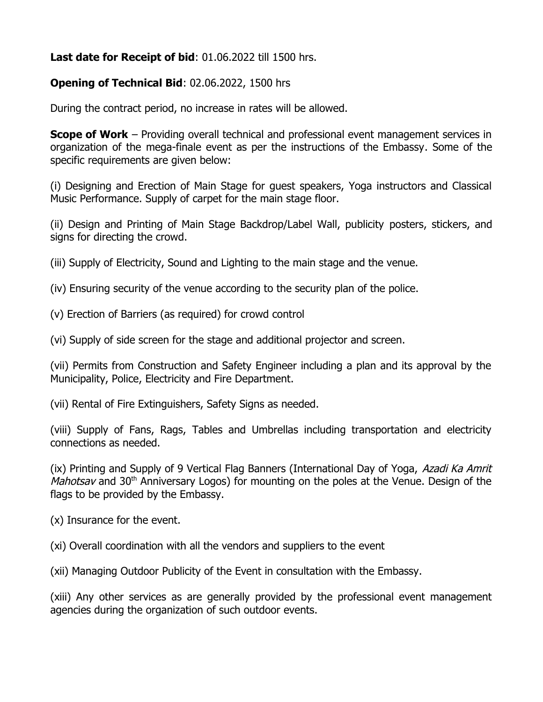### **Last date for Receipt of bid**: 01.06.2022 till 1500 hrs.

#### **Opening of Technical Bid**: 02.06.2022, 1500 hrs

During the contract period, no increase in rates will be allowed.

**Scope of Work** – Providing overall technical and professional event management services in organization of the mega-finale event as per the instructions of the Embassy. Some of the specific requirements are given below:

(i) Designing and Erection of Main Stage for guest speakers, Yoga instructors and Classical Music Performance. Supply of carpet for the main stage floor.

(ii) Design and Printing of Main Stage Backdrop/Label Wall, publicity posters, stickers, and signs for directing the crowd.

(iii) Supply of Electricity, Sound and Lighting to the main stage and the venue.

(iv) Ensuring security of the venue according to the security plan of the police.

(v) Erection of Barriers (as required) for crowd control

(vi) Supply of side screen for the stage and additional projector and screen.

(vii) Permits from Construction and Safety Engineer including a plan and its approval by the Municipality, Police, Electricity and Fire Department.

(vii) Rental of Fire Extinguishers, Safety Signs as needed.

(viii) Supply of Fans, Rags, Tables and Umbrellas including transportation and electricity connections as needed.

(ix) Printing and Supply of 9 Vertical Flag Banners (International Day of Yoga, Azadi Ka Amrit *Mahotsav* and 30<sup>th</sup> Anniversary Logos) for mounting on the poles at the Venue. Design of the flags to be provided by the Embassy.

(x) Insurance for the event.

(xi) Overall coordination with all the vendors and suppliers to the event

(xii) Managing Outdoor Publicity of the Event in consultation with the Embassy.

(xiii) Any other services as are generally provided by the professional event management agencies during the organization of such outdoor events.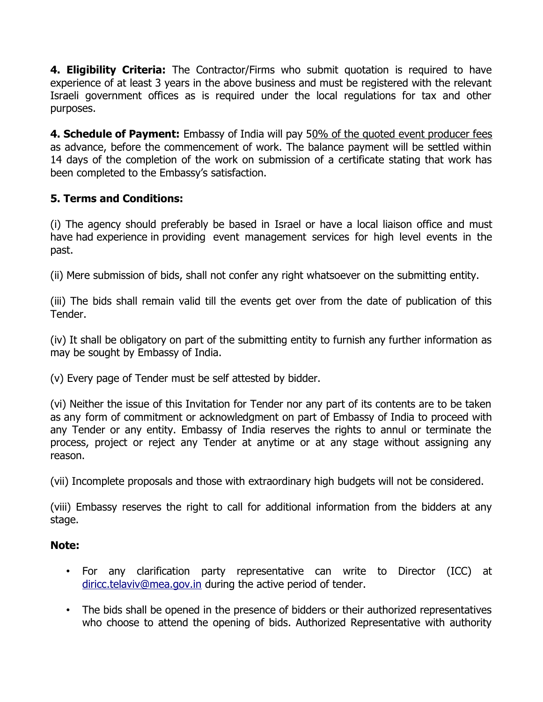**4. Eligibility Criteria:** The Contractor/Firms who submit quotation is required to have experience of at least 3 years in the above business and must be registered with the relevant Israeli government offices as is required under the local regulations for tax and other purposes.

**4. Schedule of Payment:** Embassy of India will pay 50% of the quoted event producer fees as advance, before the commencement of work. The balance payment will be settled within 14 days of the completion of the work on submission of a certificate stating that work has been completed to the Embassy's satisfaction.

## **5. Terms and Conditions:**

(i) The agency should preferably be based in Israel or have a local liaison office and must have had experience in providing event management services for high level events in the past.

(ii) Mere submission of bids, shall not confer any right whatsoever on the submitting entity.

(iii) The bids shall remain valid till the events get over from the date of publication of this Tender.

(iv) It shall be obligatory on part of the submitting entity to furnish any further information as may be sought by Embassy of India.

(v) Every page of Tender must be self attested by bidder.

(vi) Neither the issue of this Invitation for Tender nor any part of its contents are to be taken as any form of commitment or acknowledgment on part of Embassy of India to proceed with any Tender or any entity. Embassy of India reserves the rights to annul or terminate the process, project or reject any Tender at anytime or at any stage without assigning any reason.

(vii) Incomplete proposals and those with extraordinary high budgets will not be considered.

(viii) Embassy reserves the right to call for additional information from the bidders at any stage.

#### **Note:**

- For any clarification party representative can write to Director (ICC) at [diricc.telaviv@mea.gov.in](mailto:diricc.telaviv@mea.gov.in) during the active period of tender.
- The bids shall be opened in the presence of bidders or their authorized representatives who choose to attend the opening of bids. Authorized Representative with authority